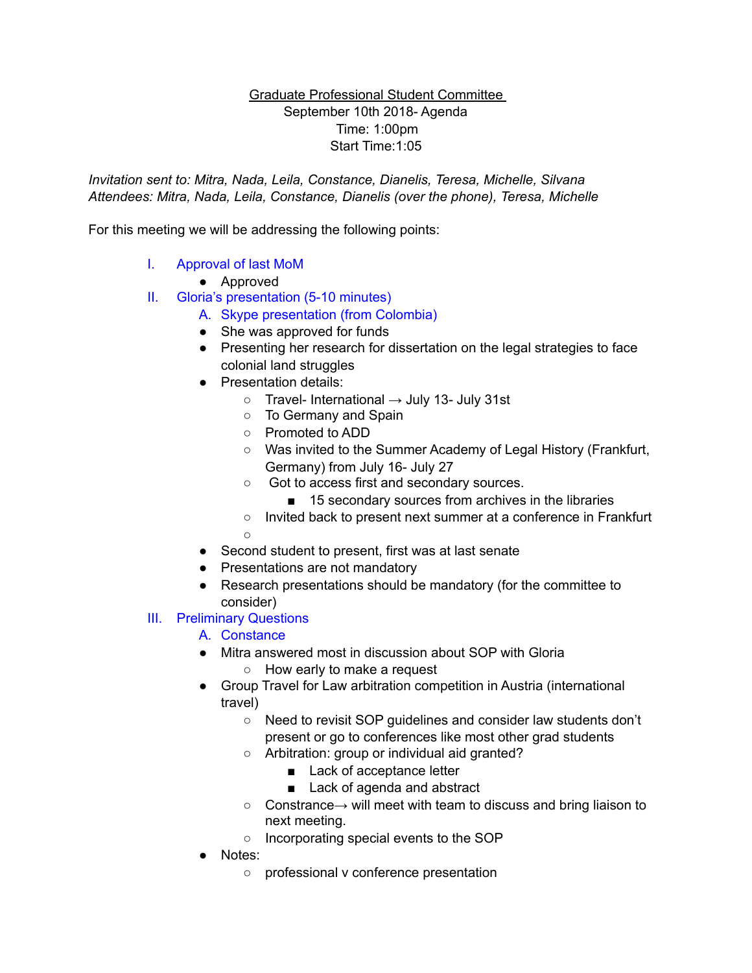### Graduate Professional Student Committee September 10th 2018- Agenda Time: 1:00pm Start Time:1:05

*Invitation sent to: Mitra, Nada, Leila, Constance, Dianelis, Teresa, Michelle, Silvana Attendees: Mitra, Nada, Leila, Constance, Dianelis (over the phone), Teresa, Michelle* 

For this meeting we will be addressing the following points:

I. Approval of last MoM

● Approved

- II. Gloria's presentation (5-10 minutes)
	- A. Skype presentation (from Colombia)
	- She was approved for funds
	- Presenting her research for dissertation on the legal strategies to face colonial land struggles
	- Presentation details:
		- $\circ$  Travel- International  $\rightarrow$  July 13- July 31st
		- To Germany and Spain
		- Promoted to ADD
		- Was invited to the Summer Academy of Legal History (Frankfurt, Germany) from July 16- July 27
		- Got to access first and secondary sources.
			- 15 secondary sources from archives in the libraries
		- Invited back to present next summer at a conference in Frankfurt  $\Omega$
	- Second student to present, first was at last senate
	- Presentations are not mandatory
	- Research presentations should be mandatory (for the committee to consider)
- III. Preliminary Questions
	- A. Constance
	- Mitra answered most in discussion about SOP with Gloria
		- How early to make a request
	- Group Travel for Law arbitration competition in Austria (international travel)
		- Need to revisit SOP guidelines and consider law students don't present or go to conferences like most other grad students
		- Arbitration: group or individual aid granted?
			- Lack of acceptance letter
			- Lack of agenda and abstract
		- $\circ$  Constrance $\rightarrow$  will meet with team to discuss and bring liaison to next meeting.
		- Incorporating special events to the SOP
	- Notes:
		- professional v conference presentation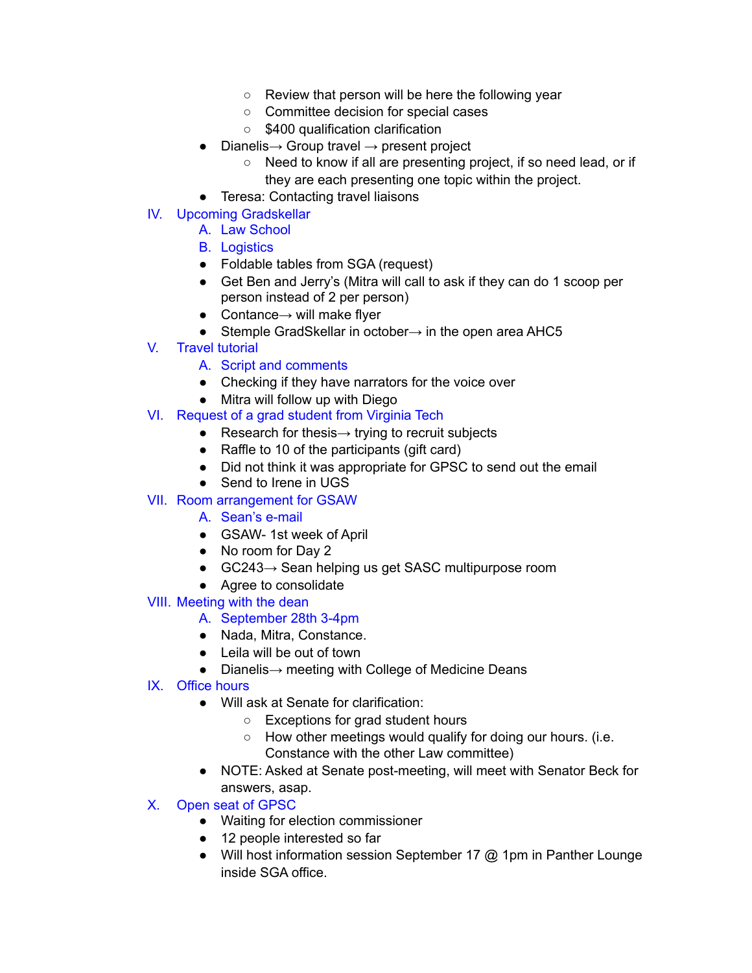- Review that person will be here the following year
- Committee decision for special cases
- \$400 qualification clarification
- $\bullet$  Dianelis  $\rightarrow$  Group travel  $\rightarrow$  present project
	- Need to know if all are presenting project, if so need lead, or if they are each presenting one topic within the project.
- Teresa: Contacting travel liaisons
- IV. Upcoming Gradskellar

### A. Law School

- B. Logistics
- Foldable tables from SGA (request)
- Get Ben and Jerry's (Mitra will call to ask if they can do 1 scoop per person instead of 2 per person)
- $\bullet$  Contance $\rightarrow$  will make flyer
- Stemple GradSkellar in october→ in the open area AHC5
- V. Travel tutorial
	- A. Script and comments
	- Checking if they have narrators for the voice over
	- Mitra will follow up with Diego
- VI. Request of a grad student from Virginia Tech
	- Research for thesis $\rightarrow$  trying to recruit subjects
	- Raffle to 10 of the participants (gift card)
	- Did not think it was appropriate for GPSC to send out the email
	- Send to Irene in UGS

# VII. Room arrangement for GSAW

- A. Sean's e-mail
- GSAW-1st week of April
- No room for Day 2
- GC243→ Sean helping us get SASC multipurpose room
- Agree to consolidate

# VIII. Meeting with the dean

- A. September 28th 3-4pm
- Nada, Mitra, Constance.
- Leila will be out of town
- Dianelis→ meeting with College of Medicine Deans
- IX. Office hours
	- Will ask at Senate for clarification:
		- Exceptions for grad student hours
		- How other meetings would qualify for doing our hours. (i.e. Constance with the other Law committee)
	- NOTE: Asked at Senate post-meeting, will meet with Senator Beck for answers, asap.

# X. Open seat of GPSC

- Waiting for election commissioner
- 12 people interested so far
- Will host information session September 17 @ 1pm in Panther Lounge inside SGA office.